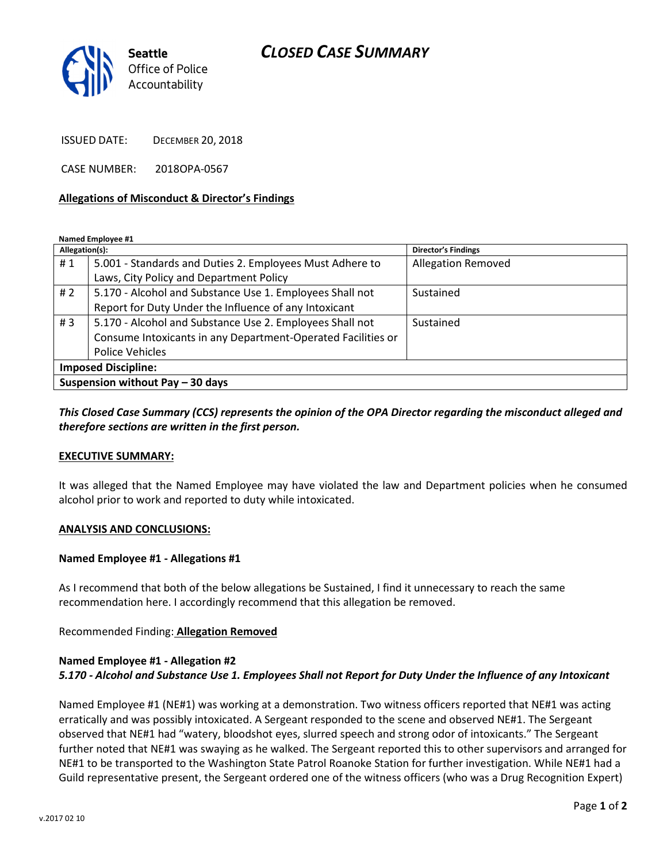# CLOSED CASE SUMMARY



ISSUED DATE: DECEMBER 20, 2018

CASE NUMBER: 2018OPA-0567

#### Allegations of Misconduct & Director's Findings

Named Employee #1

| Allegation(s):                   |                                                              | <b>Director's Findings</b> |
|----------------------------------|--------------------------------------------------------------|----------------------------|
| #1                               | 5.001 - Standards and Duties 2. Employees Must Adhere to     | <b>Allegation Removed</b>  |
|                                  | Laws, City Policy and Department Policy                      |                            |
| #2                               | 5.170 - Alcohol and Substance Use 1. Employees Shall not     | Sustained                  |
|                                  | Report for Duty Under the Influence of any Intoxicant        |                            |
| #3                               | 5.170 - Alcohol and Substance Use 2. Employees Shall not     | Sustained                  |
|                                  | Consume Intoxicants in any Department-Operated Facilities or |                            |
|                                  | <b>Police Vehicles</b>                                       |                            |
| <b>Imposed Discipline:</b>       |                                                              |                            |
| Suspension without Pay - 30 days |                                                              |                            |

### This Closed Case Summary (CCS) represents the opinion of the OPA Director regarding the misconduct alleged and therefore sections are written in the first person.

#### EXECUTIVE SUMMARY:

It was alleged that the Named Employee may have violated the law and Department policies when he consumed alcohol prior to work and reported to duty while intoxicated.

#### ANALYSIS AND CONCLUSIONS:

#### Named Employee #1 - Allegations #1

As I recommend that both of the below allegations be Sustained, I find it unnecessary to reach the same recommendation here. I accordingly recommend that this allegation be removed.

Recommended Finding: Allegation Removed

## Named Employee #1 - Allegation #2 5.170 - Alcohol and Substance Use 1. Employees Shall not Report for Duty Under the Influence of any Intoxicant

Named Employee #1 (NE#1) was working at a demonstration. Two witness officers reported that NE#1 was acting erratically and was possibly intoxicated. A Sergeant responded to the scene and observed NE#1. The Sergeant observed that NE#1 had "watery, bloodshot eyes, slurred speech and strong odor of intoxicants." The Sergeant further noted that NE#1 was swaying as he walked. The Sergeant reported this to other supervisors and arranged for NE#1 to be transported to the Washington State Patrol Roanoke Station for further investigation. While NE#1 had a Guild representative present, the Sergeant ordered one of the witness officers (who was a Drug Recognition Expert)